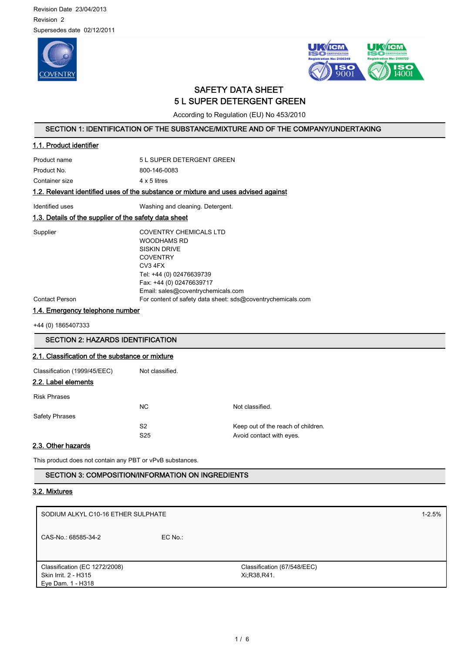Revision Date 23/04/2013 Revision 2 Supersedes date 02/12/2011





# SAFETY DATA SHEET 5 L SUPER DETERGENT GREEN

According to Regulation (EU) No 453/2010

# SECTION 1: IDENTIFICATION OF THE SUBSTANCE/MIXTURE AND OF THE COMPANY/UNDERTAKING

# 1.1. Product identifier

Product name 5 L SUPER DETERGENT GREEN Product No. 6800-146-0083 Container size 4 x 5 litres

# 1.2. Relevant identified uses of the substance or mixture and uses advised against

Identified uses **Washing and cleaning.** Detergent.

# 1.3. Details of the supplier of the safety data sheet

Supplier COVENTRY CHEMICALS LTD WOODHAMS RD SISKIN DRIVE **COVENTRY** CV3 4FX Tel: +44 (0) 02476639739 Fax: +44 (0) 02476639717 Email: sales@coventrychemicals.com Contact Person For content of safety data sheet: sds@coventrychemicals.com

1.4. Emergency telephone number

+44 (0) 1865407333

# SECTION 2: HAZARDS IDENTIFICATION 2.1. Classification of the substance or mixture Classification (1999/45/EEC) Not classified. 2.2. Label elements Risk Phrases NC Not classified. Safety Phrases S2 Keep out of the reach of children. S25 Avoid contact with eyes.

### 2.3. Other hazards

This product does not contain any PBT or vPvB substances.

# SECTION 3: COMPOSITION/INFORMATION ON INGREDIENTS

### 3.2. Mixtures

| SODIUM ALKYL C10-16 ETHER SULPHATE                                         |           | $1 - 2.5%$                                 |  |
|----------------------------------------------------------------------------|-----------|--------------------------------------------|--|
| CAS-No.: 68585-34-2                                                        | $EC$ No.: |                                            |  |
| Classification (EC 1272/2008)<br>Skin Irrit. 2 - H315<br>Eye Dam. 1 - H318 |           | Classification (67/548/EEC)<br>Xi;R38,R41. |  |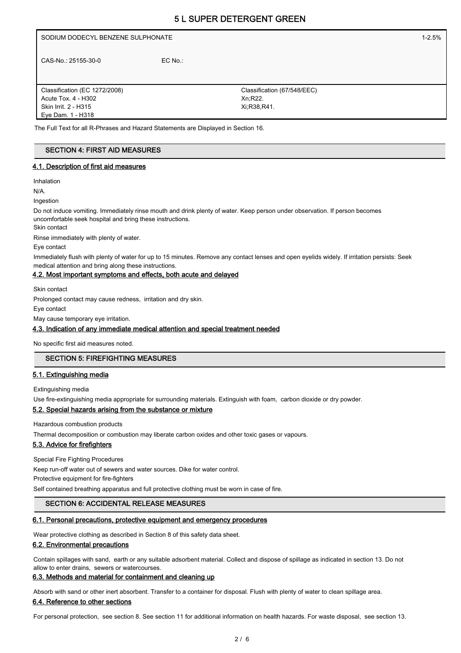# 5 L SUPER DETERGENT GREEN

| SODIUM DODECYL BENZENE SULPHONATE |           |                             | $1 - 2.5%$ |
|-----------------------------------|-----------|-----------------------------|------------|
| CAS-No.: 25155-30-0               | $EC$ No.: |                             |            |
| Classification (EC 1272/2008)     |           | Classification (67/548/EEC) |            |
| Acute Tox. 4 - H302               |           | Xn, R22.                    |            |
| Skin Irrit. 2 - H315              |           | Xi:R38,R41.                 |            |
| Eye Dam. 1 - H318                 |           |                             |            |

The Full Text for all R-Phrases and Hazard Statements are Displayed in Section 16.

# SECTION 4: FIRST AID MEASURES

### 4.1. Description of first aid measures

Inhalation

N/A.

Ingestion

Do not induce vomiting. Immediately rinse mouth and drink plenty of water. Keep person under observation. If person becomes uncomfortable seek hospital and bring these instructions.

Skin contact

Rinse immediately with plenty of water.

Eye contact

Immediately flush with plenty of water for up to 15 minutes. Remove any contact lenses and open eyelids widely. If irritation persists: Seek medical attention and bring along these instructions.

### 4.2. Most important symptoms and effects, both acute and delayed

Skin contact

Prolonged contact may cause redness, irritation and dry skin.

Eye contact

May cause temporary eye irritation.

### 4.3. Indication of any immediate medical attention and special treatment needed

No specific first aid measures noted.

# SECTION 5: FIREFIGHTING MEASURES

### 5.1. Extinguishing media

Extinguishing media

Use fire-extinguishing media appropriate for surrounding materials. Extinguish with foam, carbon dioxide or dry powder.

### 5.2. Special hazards arising from the substance or mixture

Hazardous combustion products

Thermal decomposition or combustion may liberate carbon oxides and other toxic gases or vapours.

# 5.3. Advice for firefighters

Special Fire Fighting Procedures

Keep run-off water out of sewers and water sources. Dike for water control.

Protective equipment for fire-fighters

Self contained breathing apparatus and full protective clothing must be worn in case of fire.

### SECTION 6: ACCIDENTAL RELEASE MEASURES

### 6.1. Personal precautions, protective equipment and emergency procedures

Wear protective clothing as described in Section 8 of this safety data sheet.

### 6.2. Environmental precautions

Contain spillages with sand, earth or any suitable adsorbent material. Collect and dispose of spillage as indicated in section 13. Do not allow to enter drains, sewers or watercourses.

### 6.3. Methods and material for containment and cleaning up

Absorb with sand or other inert absorbent. Transfer to a container for disposal. Flush with plenty of water to clean spillage area.

### 6.4. Reference to other sections

For personal protection, see section 8. See section 11 for additional information on health hazards. For waste disposal, see section 13.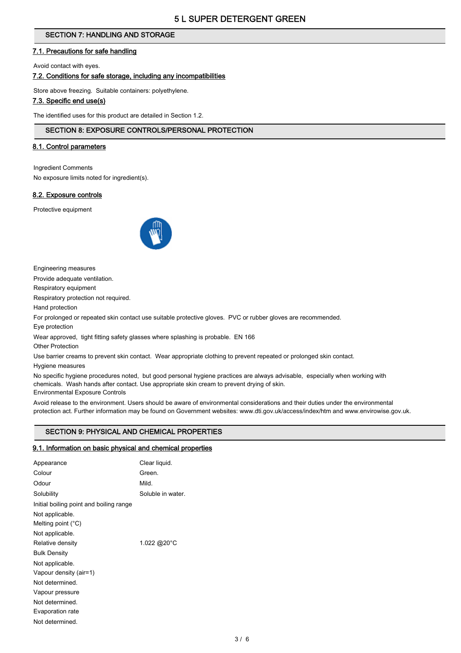# SECTION 7: HANDLING AND STORAGE

# 7.1. Precautions for safe handling

Avoid contact with eyes.

### 7.2. Conditions for safe storage, including any incompatibilities

Store above freezing. Suitable containers: polyethylene.

# 7.3. Specific end use(s)

The identified uses for this product are detailed in Section 1.2.

### SECTION 8: EXPOSURE CONTROLS/PERSONAL PROTECTION

### 8.1. Control parameters

Ingredient Comments

No exposure limits noted for ingredient(s).

# 8.2. Exposure controls

Protective equipment



Engineering measures

Provide adequate ventilation.

Respiratory equipment

Respiratory protection not required.

Hand protection

For prolonged or repeated skin contact use suitable protective gloves. PVC or rubber gloves are recommended.

Eye protection

Wear approved, tight fitting safety glasses where splashing is probable. EN 166

Other Protection

Use barrier creams to prevent skin contact. Wear appropriate clothing to prevent repeated or prolonged skin contact. Hygiene measures

No specific hygiene procedures noted, but good personal hygiene practices are always advisable, especially when working with chemicals. Wash hands after contact. Use appropriate skin cream to prevent drying of skin. Environmental Exposure Controls

Avoid release to the environment. Users should be aware of environmental considerations and their duties under the environmental protection act. Further information may be found on Government websites: www.dti.gov.uk/access/index/htm and www.envirowise.gov.uk.

# SECTION 9: PHYSICAL AND CHEMICAL PROPERTIES

### 9.1. Information on basic physical and chemical properties

|                                         | Clear liquid.     |
|-----------------------------------------|-------------------|
| Appearance                              |                   |
| Colour                                  | Green.            |
| Odour                                   | Mild.             |
| Solubility                              | Soluble in water. |
| Initial boiling point and boiling range |                   |
| Not applicable.                         |                   |
| Melting point $(^{\circ}C)$             |                   |
| Not applicable.                         |                   |
| Relative density                        | 1.022 @20°C       |
| <b>Bulk Density</b>                     |                   |
| Not applicable.                         |                   |
| Vapour density (air=1)                  |                   |
| Not determined.                         |                   |
| Vapour pressure                         |                   |
| Not determined.                         |                   |
| Evaporation rate                        |                   |
| Not determined.                         |                   |
|                                         |                   |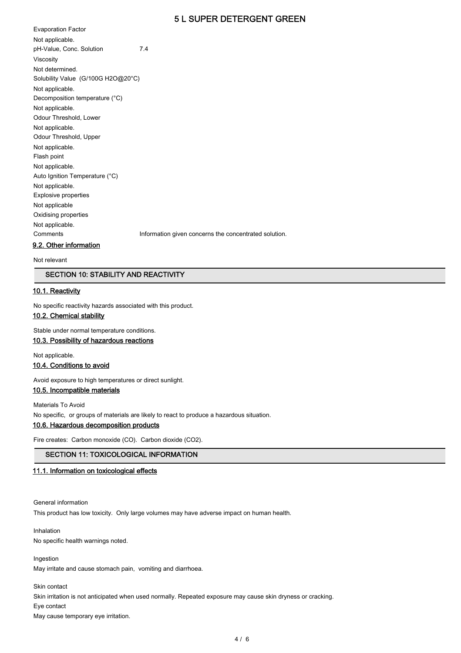# 5 L SUPER DETERGENT GREEN

Evaporation Factor Not applicable. pH-Value, Conc. Solution 7.4 Viscosity Not determined. Solubility Value (G/100G H2O@20°C) Not applicable. Decomposition temperature (°C) Not applicable. Odour Threshold, Lower Not applicable. Odour Threshold, Upper Not applicable. Flash point Not applicable. Auto Ignition Temperature (°C) Not applicable. Explosive properties Not applicable Oxidising properties Not applicable. Comments **Information given concerns the concentrated solution.** 

9.2. Other information

Not relevant

# SECTION 10: STABILITY AND REACTIVITY

### 10.1. Reactivity

No specific reactivity hazards associated with this product.

### 10.2. Chemical stability

Stable under normal temperature conditions.

# 10.3. Possibility of hazardous reactions

Not applicable.

### 10.4. Conditions to avoid

Avoid exposure to high temperatures or direct sunlight.

# 10.5. Incompatible materials

Materials To Avoid No specific, or groups of materials are likely to react to produce a hazardous situation.

10.6. Hazardous decomposition products

Fire creates: Carbon monoxide (CO). Carbon dioxide (CO2).

### SECTION 11: TOXICOLOGICAL INFORMATION

### 11.1. Information on toxicological effects

General information This product has low toxicity. Only large volumes may have adverse impact on human health.

Inhalation No specific health warnings noted.

Ingestion

May irritate and cause stomach pain, vomiting and diarrhoea.

Skin contact Skin irritation is not anticipated when used normally. Repeated exposure may cause skin dryness or cracking. Eye contact

May cause temporary eye irritation.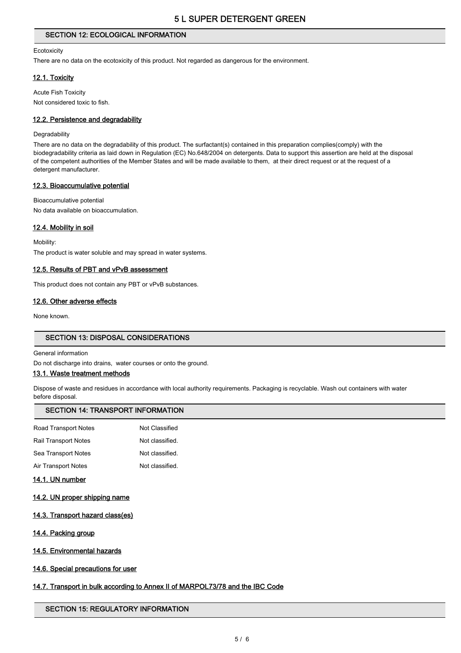# SECTION 12: ECOLOGICAL INFORMATION

#### **Ecotoxicity**

There are no data on the ecotoxicity of this product. Not regarded as dangerous for the environment.

### 12.1. Toxicity

Acute Fish Toxicity Not considered toxic to fish.

### 12.2. Persistence and degradability

#### **Degradability**

There are no data on the degradability of this product. The surfactant(s) contained in this preparation complies(comply) with the biodegradability criteria as laid down in Regulation (EC) No.648/2004 on detergents. Data to support this assertion are held at the disposal of the competent authorities of the Member States and will be made available to them, at their direct request or at the request of a detergent manufacturer.

### 12.3. Bioaccumulative potential

Bioaccumulative potential No data available on bioaccumulation.

### 12.4. Mobility in soil

Mobility: The product is water soluble and may spread in water systems.

### 12.5. Results of PBT and vPvB assessment

This product does not contain any PBT or vPvB substances.

# 12.6. Other adverse effects

None known.

# SECTION 13: DISPOSAL CONSIDERATIONS

General information

Do not discharge into drains, water courses or onto the ground.

### 13.1. Waste treatment methods

Dispose of waste and residues in accordance with local authority requirements. Packaging is recyclable. Wash out containers with water before disposal.

# SECTION 14: TRANSPORT INFORMATION

| Road Transport Notes        | Not Classified  |
|-----------------------------|-----------------|
| <b>Rail Transport Notes</b> | Not classified. |
| Sea Transport Notes         | Not classified. |
| Air Transport Notes         | Not classified. |

### 14.1. UN number

- 14.2. UN proper shipping name
- 14.3. Transport hazard class(es)
- 14.4. Packing group
- 14.5. Environmental hazards
- 14.6. Special precautions for user

# 14.7. Transport in bulk according to Annex II of MARPOL73/78 and the IBC Code

# SECTION 15: REGULATORY INFORMATION